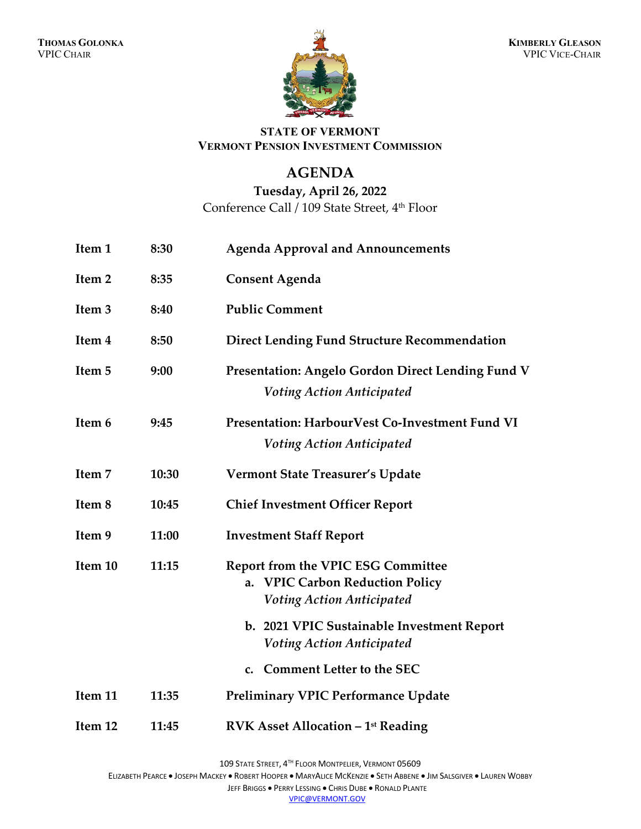

### **STATE OF VERMONT VERMONT PENSION INVESTMENT COMMISSION**

## **AGENDA**

## **Tuesday, April 26, 2022** Conference Call / 109 State Street, 4<sup>th</sup> Floor

| Item 1            | 8:30  | <b>Agenda Approval and Announcements</b>                                                                                   |
|-------------------|-------|----------------------------------------------------------------------------------------------------------------------------|
| Item 2            | 8:35  | <b>Consent Agenda</b>                                                                                                      |
| Item <sub>3</sub> | 8:40  | <b>Public Comment</b>                                                                                                      |
| Item 4            | 8:50  | <b>Direct Lending Fund Structure Recommendation</b>                                                                        |
| Item 5            | 9:00  | Presentation: Angelo Gordon Direct Lending Fund V<br><b>Voting Action Anticipated</b>                                      |
| Item 6            | 9:45  | Presentation: HarbourVest Co-Investment Fund VI<br><b>Voting Action Anticipated</b>                                        |
| Item 7            | 10:30 | <b>Vermont State Treasurer's Update</b>                                                                                    |
| Item 8            | 10:45 | <b>Chief Investment Officer Report</b>                                                                                     |
| Item 9            | 11:00 | <b>Investment Staff Report</b>                                                                                             |
| Item 10           | 11:15 | <b>Report from the VPIC ESG Committee</b><br><b>VPIC Carbon Reduction Policy</b><br>a.<br><b>Voting Action Anticipated</b> |
|                   |       | b. 2021 VPIC Sustainable Investment Report<br><b>Voting Action Anticipated</b>                                             |
|                   |       | c. Comment Letter to the SEC                                                                                               |
| Item 11           | 11:35 | <b>Preliminary VPIC Performance Update</b>                                                                                 |
| Item 12           | 11:45 | <b>RVK Asset Allocation - 1st Reading</b>                                                                                  |

ELIZABETH PEARCE • JOSEPH MACKEY • ROBERT HOOPER • MARYALICE MCKENZIE • SETH ABBENE • JIM SALSGIVER • LAUREN WOBBY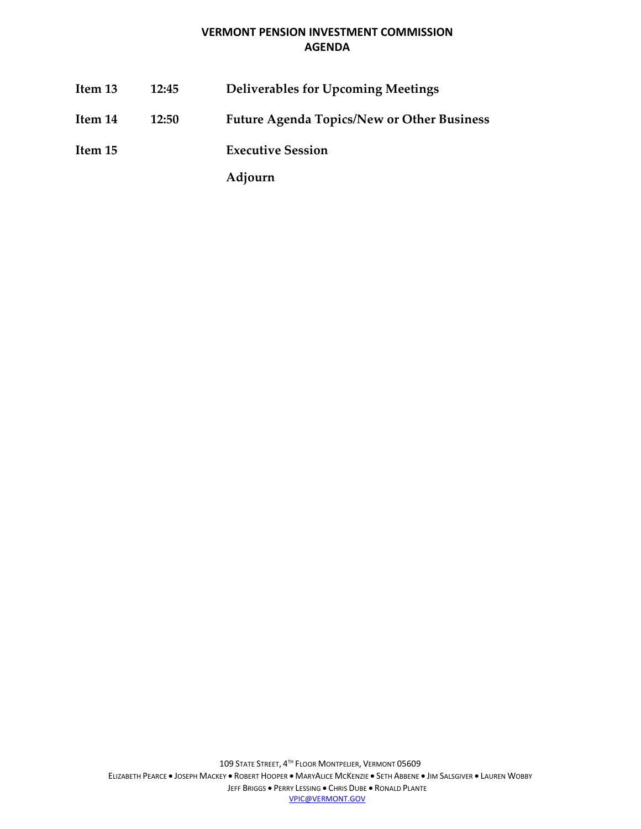#### **VERMONT PENSION INVESTMENT COMMISSION AGENDA**

**Item 13 12:45 Deliverables for Upcoming Meetings Item 14 12:50 Future Agenda Topics/New or Other Business Item 15 Executive Session Adjourn**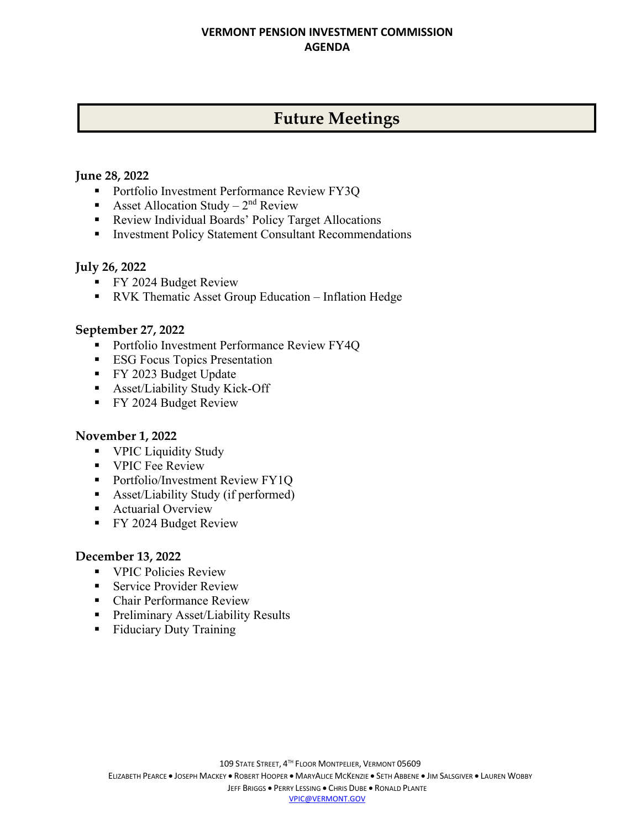#### **VERMONT PENSION INVESTMENT COMMISSION AGENDA**

# **Future Meetings**

#### **June 28, 2022**

- **Portfolio Investment Performance Review FY3Q**
- Asset Allocation Study  $2<sup>nd</sup>$  Review
- **Review Individual Boards' Policy Target Allocations**
- **Investment Policy Statement Consultant Recommendations**

#### **July 26, 2022**

- **FY 2024 Budget Review**
- RVK Thematic Asset Group Education Inflation Hedge

#### **September 27, 2022**

- **Portfolio Investment Performance Review FY4Q**
- **ESG Focus Topics Presentation**
- **FY 2023 Budget Update**
- Asset/Liability Study Kick-Off
- **FY 2024 Budget Review**

#### **November 1, 2022**

- **VPIC Liquidity Study**
- **VPIC Fee Review**
- **Portfolio/Investment Review FY1Q**
- Asset/Liability Study (if performed)
- **Actuarial Overview**
- **FY 2024 Budget Review**

#### **December 13, 2022**

- **VPIC Policies Review**
- **Service Provider Review**
- Chair Performance Review
- **Preliminary Asset/Liability Results**
- **Fiduciary Duty Training**